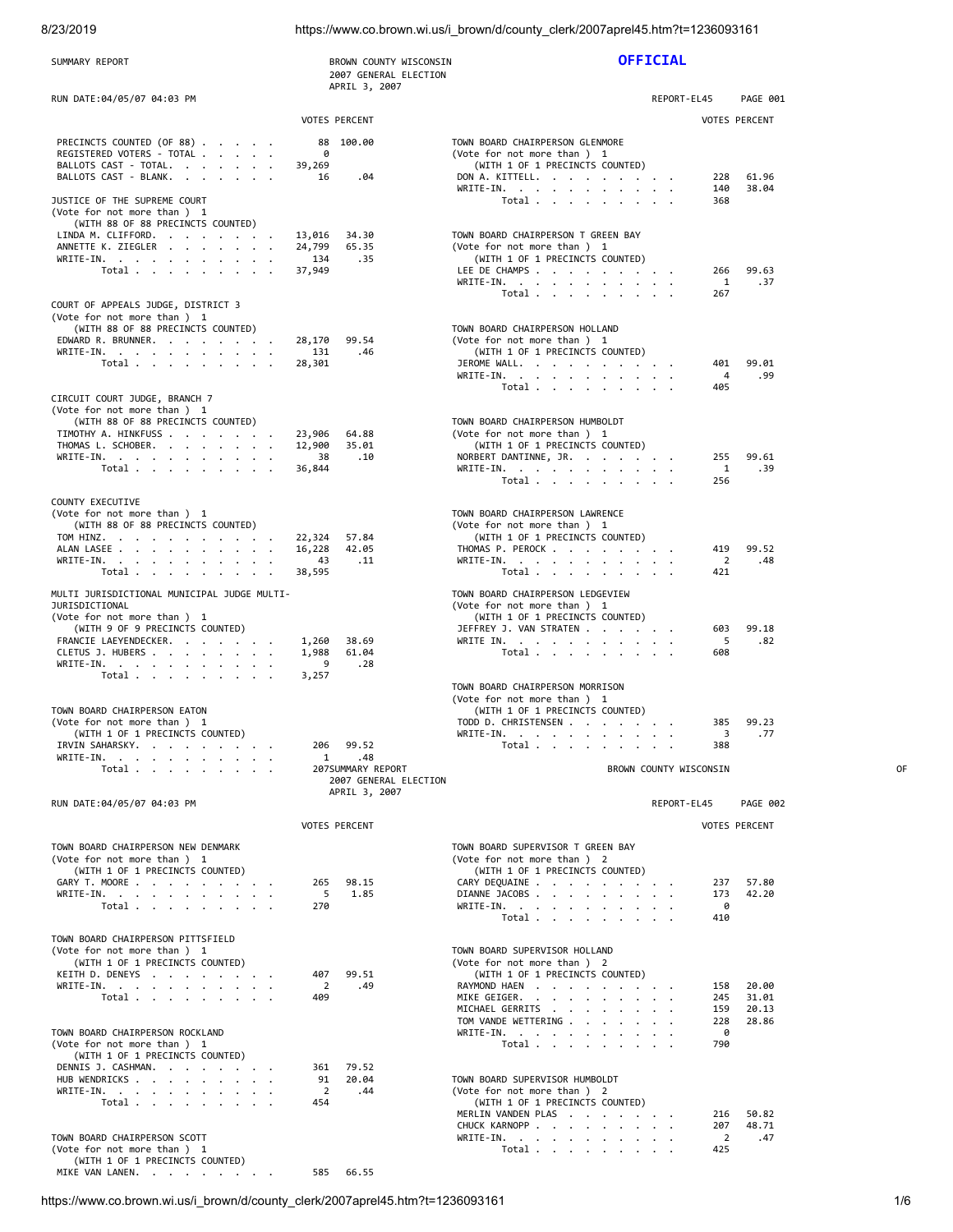8/23/2019 https://www.co.brown.wi.us/i\_brown/d/county\_clerk/2007aprel45.htm?t=1236093161

| SUMMARY REPORT                                                                                                                                                                                                                            | BROWN COUNTY WISCONSIN<br>2007 GENERAL ELECTION                   | <b>OFFICIAL</b>                                                                                                                                                                                                                                                                                        |    |
|-------------------------------------------------------------------------------------------------------------------------------------------------------------------------------------------------------------------------------------------|-------------------------------------------------------------------|--------------------------------------------------------------------------------------------------------------------------------------------------------------------------------------------------------------------------------------------------------------------------------------------------------|----|
| RUN DATE:04/05/07 04:03 PM                                                                                                                                                                                                                | APRIL 3, 2007                                                     | PAGE 001<br>REPORT-EL45                                                                                                                                                                                                                                                                                |    |
|                                                                                                                                                                                                                                           | <b>VOTES PERCENT</b>                                              | <b>VOTES PERCENT</b>                                                                                                                                                                                                                                                                                   |    |
| PRECINCTS COUNTED (OF 88)<br>REGISTERED VOTERS - TOTAL<br>BALLOTS CAST - TOTAL.<br>BALLOTS CAST - BLANK.                                                                                                                                  | 88 100.00<br>0<br>39,269<br>16<br>.04                             | TOWN BOARD CHAIRPERSON GLENMORE<br>(Vote for not more than ) 1<br>(WITH 1 OF 1 PRECINCTS COUNTED)<br>61.96<br>DON A. KITTELL.<br>228<br>38.04<br>WRITE-IN.<br>140                                                                                                                                      |    |
| JUSTICE OF THE SUPREME COURT<br>(Vote for not more than ) 1<br>(WITH 88 OF 88 PRECINCTS COUNTED)<br>LINDA M. CLIFFORD.<br>ANNETTE K. ZIEGLER<br>WRITE-IN.<br>Total $\cdots$ $\cdots$ $\cdots$                                             | 13,016<br>34.30<br>24,799<br>65.35<br>134<br>.35<br>37,949        | Total $\cdots$ $\cdots$ $\cdots$<br>368<br>TOWN BOARD CHAIRPERSON T GREEN BAY<br>(Vote for not more than ) 1<br>(WITH 1 OF 1 PRECINCTS COUNTED)<br>LEE DE CHAMPS<br>266<br>99.63<br>WRITE-IN.<br>1<br>.37                                                                                              |    |
| COURT OF APPEALS JUDGE, DISTRICT 3<br>(Vote for not more than ) 1<br>(WITH 88 OF 88 PRECINCTS COUNTED)<br>EDWARD R. BRUNNER.<br>WRITE-IN.<br>Total $\cdots$ $\cdots$ $\cdots$                                                             | 99.54<br>28,170<br>131<br>.46<br>28,301                           | Total $\cdots$ $\cdots$ $\cdots$<br>267<br>TOWN BOARD CHAIRPERSON HOLLAND<br>(Vote for not more than ) 1<br>(WITH 1 OF 1 PRECINCTS COUNTED)<br>99.01<br>JEROME WALL.<br>401<br>.99<br>WRITE-IN.<br>4                                                                                                   |    |
| CIRCUIT COURT JUDGE, BRANCH 7<br>(Vote for not more than ) 1<br>(WITH 88 OF 88 PRECINCTS COUNTED)<br>TIMOTHY A. HINKFUSS<br>THOMAS L. SCHOBER.<br>WRITE-IN.<br>Total $\cdots$ $\cdots$ $\cdots$                                           | 23,906<br>64.88<br>12,900<br>35.01<br>38<br>.10<br>36,844         | Total $\cdots$ $\cdots$ $\cdots$<br>405<br>TOWN BOARD CHAIRPERSON HUMBOLDT<br>(Vote for not more than ) 1<br>(WITH 1 OF 1 PRECINCTS COUNTED)<br>NORBERT DANTINNE, JR.<br>255<br>99.61<br>WRITE-IN.<br>1<br>.39<br>Total $\cdots$ $\cdots$ $\cdots$<br>256                                              |    |
| COUNTY EXECUTIVE<br>(Vote for not more than) 1<br>(WITH 88 OF 88 PRECINCTS COUNTED)<br>TOM HINZ.<br>ALAN LASEE<br>WRITE-IN.<br>Total $\cdots$ $\cdots$ $\cdots$                                                                           | 22,324<br>57.84<br>16,228<br>42.05<br>43<br>.11<br>38,595         | TOWN BOARD CHAIRPERSON LAWRENCE<br>(Vote for not more than) 1<br>(WITH 1 OF 1 PRECINCTS COUNTED)<br>419<br>99.52<br>THOMAS P. PEROCK<br>WRITE-IN.<br>$\overline{2}$<br>.48<br>421<br>Total                                                                                                             |    |
| MULTI JURISDICTIONAL MUNICIPAL JUDGE MULTI-<br>JURISDICTIONAL<br>(Vote for not more than ) 1<br>(WITH 9 OF 9 PRECINCTS COUNTED)<br>FRANCIE LAEYENDECKER.<br>CLETUS J. HUBERS<br>WRITE-IN.                                                 | 1,260<br>38.69<br>1,988<br>61.04<br>9<br>.28                      | TOWN BOARD CHAIRPERSON LEDGEVIEW<br>(Vote for not more than ) 1<br>(WITH 1 OF 1 PRECINCTS COUNTED)<br>JEFFREY J. VAN STRATEN<br>603<br>99.18<br>.82<br>WRITE IN.<br>- 5<br>Total $\cdots$ $\cdots$ $\cdots$<br>608                                                                                     |    |
| Total $\cdots$ $\cdots$ $\cdots$<br>TOWN BOARD CHAIRPERSON EATON<br>(Vote for not more than ) 1<br>(WITH 1 OF 1 PRECINCTS COUNTED)<br>IRVIN SAHARSKY.<br>WRITE-IN.<br>Total                                                               | 3,257<br>206<br>99.52<br>$\mathbf{1}$<br>.48<br>207SUMMARY REPORT | TOWN BOARD CHAIRPERSON MORRISON<br>(Vote for not more than ) 1<br>(WITH 1 OF 1 PRECINCTS COUNTED)<br>TODD D. CHRISTENSEN<br>385<br>99.23<br>.77<br>WRITE-IN.<br>3<br>Total<br>388<br>BROWN COUNTY WISCONSIN                                                                                            | 0F |
| RUN DATE:04/05/07 04:03 PM                                                                                                                                                                                                                | 2007 GENERAL ELECTION<br>APRIL 3, 2007                            | REPORT-EL45<br>PAGE 002                                                                                                                                                                                                                                                                                |    |
|                                                                                                                                                                                                                                           | <b>VOTES PERCENT</b>                                              | <b>VOTES PERCENT</b>                                                                                                                                                                                                                                                                                   |    |
| TOWN BOARD CHAIRPERSON NEW DENMARK<br>(Vote for not more than ) 1<br>(WITH 1 OF 1 PRECINCTS COUNTED)<br>GARY T. MOORE<br>WRITE-IN.<br>Total                                                                                               | 98.15<br>265<br>5<br>1.85<br>270                                  | TOWN BOARD SUPERVISOR T GREEN BAY<br>(Vote for not more than ) 2<br>(WITH 1 OF 1 PRECINCTS COUNTED)<br>CARY DEQUAINE<br>57.80<br>237<br>DIANNE JACOBS<br>42.20<br>173<br>WRITE-IN.<br>0<br>410<br>Total                                                                                                |    |
| TOWN BOARD CHAIRPERSON PITTSFIELD<br>(Vote for not more than ) 1<br>(WITH 1 OF 1 PRECINCTS COUNTED)<br>KEITH D. DENEYS<br>WRITE-IN.<br>Total $\cdots$ $\cdots$ $\cdots$<br>TOWN BOARD CHAIRPERSON ROCKLAND<br>(Vote for not more than ) 1 | 407<br>99.51<br>2<br>.49<br>409                                   | TOWN BOARD SUPERVISOR HOLLAND<br>(Vote for not more than ) 2<br>(WITH 1 OF 1 PRECINCTS COUNTED)<br>RAYMOND HAEN<br>20.00<br>158<br>MIKE GEIGER.<br>245<br>31.01<br>MICHAEL GERRITS<br>20.13<br>159<br>TOM VANDE WETTERING<br>228<br>28.86<br>0<br>WRITE-IN.<br>790<br>Total $\cdots$ $\cdots$ $\cdots$ |    |
| (WITH 1 OF 1 PRECINCTS COUNTED)<br>DENNIS J. CASHMAN.<br>HUB WENDRICKS<br>WRITE-IN.<br>Total $\ldots$ $\ldots$ $\ldots$ $\ldots$<br>TOWN BOARD CHAIRPERSON SCOTT<br>(Vote for not more than ) 1                                           | 79.52<br>361<br>91<br>20.04<br>2<br>.44<br>454                    | TOWN BOARD SUPERVISOR HUMBOLDT<br>(Vote for not more than) 2<br>(WITH 1 OF 1 PRECINCTS COUNTED)<br>MERLIN VANDEN PLAS<br>216<br>50.82<br>CHUCK KARNOPP<br>48.71<br>207<br>$\overline{2}$<br>WRITE-IN.<br>.47<br>425<br>Total $\ldots$ $\ldots$ $\ldots$ $\ldots$                                       |    |
| (WITH 1 OF 1 PRECINCTS COUNTED)<br>MIKE VAN LANEN.                                                                                                                                                                                        | 66.55<br>585                                                      |                                                                                                                                                                                                                                                                                                        |    |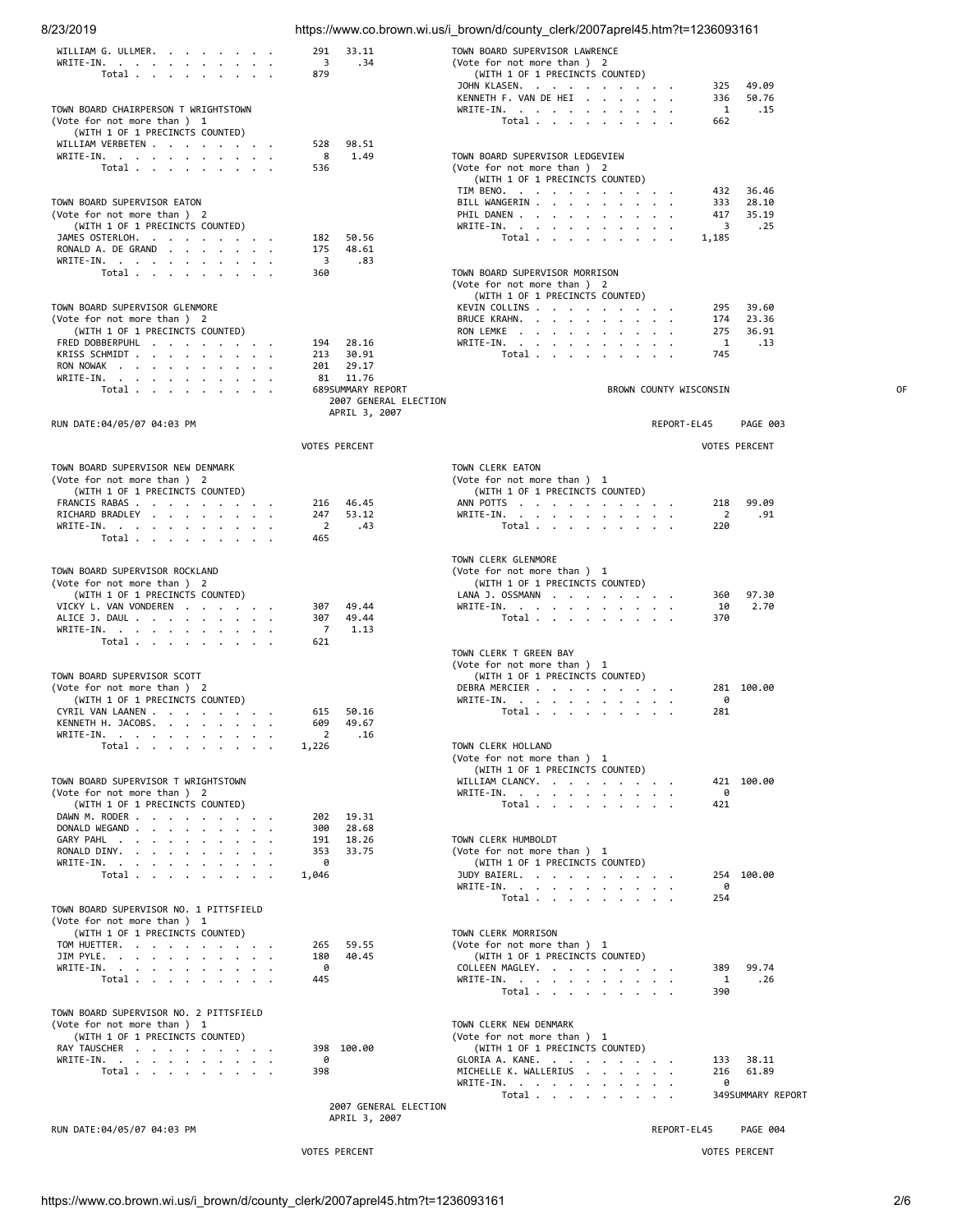| 8/23/2019                                                          |                                            | https://www.co.brown.wi.us/i_brown/d/county_clerk/2007aprel45.htm?t=1236093161 |    |
|--------------------------------------------------------------------|--------------------------------------------|--------------------------------------------------------------------------------|----|
| WILLIAM G. ULLMER.                                                 | 291<br>33.11                               | TOWN BOARD SUPERVISOR LAWRENCE                                                 |    |
| WRITE-IN. $\cdots$                                                 | 3<br>.34                                   | (Vote for not more than ) 2                                                    |    |
| Total                                                              | 879                                        | (WITH 1 OF 1 PRECINCTS COUNTED)<br>JOHN KLASEN.<br>49.09<br>325                |    |
|                                                                    |                                            | KENNETH F. VAN DE HEI.<br>50.76<br>336                                         |    |
| TOWN BOARD CHAIRPERSON T WRIGHTSTOWN                               |                                            | 1<br>WRITE-IN.<br>.15                                                          |    |
| (Vote for not more than ) 1                                        |                                            | Total $\cdots$ $\cdots$ $\cdots$<br>662                                        |    |
| (WITH 1 OF 1 PRECINCTS COUNTED)<br>WILLIAM VERBETEN                | 528<br>98.51                               |                                                                                |    |
| WRITE-IN.                                                          | 8<br>1.49                                  | TOWN BOARD SUPERVISOR LEDGEVIEW                                                |    |
| Total $\cdots$ $\cdots$ $\cdots$                                   | 536                                        | (Vote for not more than ) 2                                                    |    |
|                                                                    |                                            | (WITH 1 OF 1 PRECINCTS COUNTED)<br>TIM BENO.<br>432<br>36.46                   |    |
| TOWN BOARD SUPERVISOR EATON                                        |                                            | 28.10<br>BILL WANGERIN<br>333                                                  |    |
| (Vote for not more than ) 2                                        |                                            | 35.19<br>PHIL DANEN<br>417                                                     |    |
| (WITH 1 OF 1 PRECINCTS COUNTED)                                    |                                            | 3<br>.25<br>WRITE-IN.                                                          |    |
| JAMES OSTERLOH.<br>RONALD A. DE GRAND                              | 50.56<br>182<br>175<br>48.61               | Total<br>1,185                                                                 |    |
| WRITE-IN.                                                          | 3<br>.83                                   |                                                                                |    |
| Total $\cdots$ $\cdots$ $\cdots$                                   | 360                                        | TOWN BOARD SUPERVISOR MORRISON                                                 |    |
|                                                                    |                                            | (Vote for not more than ) 2<br>(WITH 1 OF 1 PRECINCTS COUNTED)                 |    |
| TOWN BOARD SUPERVISOR GLENMORE                                     |                                            | 39.60<br>KEVIN COLLINS<br>295                                                  |    |
| (Vote for not more than ) 2                                        |                                            | BRUCE KRAHN.<br>23.36<br>174                                                   |    |
| (WITH 1 OF 1 PRECINCTS COUNTED)                                    |                                            | RON LEMKE<br>275<br>36.91                                                      |    |
| FRED DOBBERPUHL<br>KRISS SCHMIDT                                   | 194<br>28.16<br>213<br>30.91               | WRITE-IN.<br>$\mathbf{1}$<br>.13<br>Total<br>745                               |    |
| RON NOWAK                                                          | 29.17<br>201                               |                                                                                |    |
| WRITE-IN.                                                          | 81 11.76                                   |                                                                                |    |
| Total $\ldots$ $\ldots$ $\ldots$ $\ldots$                          | 689SUMMARY REPORT<br>2007 GENERAL ELECTION | BROWN COUNTY WISCONSIN                                                         | 0F |
|                                                                    | APRIL 3, 2007                              |                                                                                |    |
| RUN DATE:04/05/07 04:03 PM                                         |                                            | REPORT-EL45<br><b>PAGE 003</b>                                                 |    |
|                                                                    | <b>VOTES PERCENT</b>                       | <b>VOTES PERCENT</b>                                                           |    |
|                                                                    |                                            |                                                                                |    |
| TOWN BOARD SUPERVISOR NEW DENMARK                                  |                                            | TOWN CLERK EATON                                                               |    |
| (Vote for not more than ) 2<br>(WITH 1 OF 1 PRECINCTS COUNTED)     |                                            | (Vote for not more than ) 1<br>(WITH 1 OF 1 PRECINCTS COUNTED)                 |    |
| FRANCIS RABAS                                                      | 216<br>46.45                               | 99.09<br>ANN POTTS<br>218                                                      |    |
| RICHARD BRADLEY                                                    | 247<br>53.12                               | WRITE-IN.<br>2<br>.91                                                          |    |
| WRITE-IN.<br>Total $\cdots$ $\cdots$ $\cdots$                      | 2<br>.43<br>465                            | Total<br>220                                                                   |    |
|                                                                    |                                            |                                                                                |    |
|                                                                    |                                            | TOWN CLERK GLENMORE                                                            |    |
| TOWN BOARD SUPERVISOR ROCKLAND<br>(Vote for not more than ) 2      |                                            | (Vote for not more than ) 1<br>(WITH 1 OF 1 PRECINCTS COUNTED)                 |    |
| (WITH 1 OF 1 PRECINCTS COUNTED)                                    |                                            | LANA J. OSSMANN<br>97.30<br>360                                                |    |
| VICKY L. VAN VONDEREN                                              | 49.44<br>307                               | 2.70<br>WRITE-IN.<br>10                                                        |    |
| ALICE J. DAUL                                                      | 307<br>49.44                               | Total<br>370                                                                   |    |
| WRITE-IN.<br>Total $\ldots$ $\ldots$ $\ldots$ $\ldots$             | 7<br>1.13<br>621                           |                                                                                |    |
|                                                                    |                                            | TOWN CLERK T GREEN BAY                                                         |    |
|                                                                    |                                            | (Vote for not more than ) 1                                                    |    |
| TOWN BOARD SUPERVISOR SCOTT<br>(Vote for not more than ) 2         |                                            | (WITH 1 OF 1 PRECINCTS COUNTED)<br>DEBRA MERCIER<br>281 100.00                 |    |
| (WITH 1 OF 1 PRECINCTS COUNTED)                                    |                                            | WRITE-IN.<br>0                                                                 |    |
| CYRIL VAN LAANEN                                                   | 615 50.16                                  | Total<br>281                                                                   |    |
| KENNETH H. JACOBS.<br>$\cdot$                                      | 609<br>49.67                               |                                                                                |    |
| $WRITE-IN.$<br>$\ddot{\phantom{0}}$<br>Total                       | 2<br>.16<br>1,226                          | TOWN CLERK HOLLAND                                                             |    |
|                                                                    |                                            | (Vote for not more than ) 1                                                    |    |
|                                                                    |                                            | (WITH 1 OF 1 PRECINCTS COUNTED)                                                |    |
| TOWN BOARD SUPERVISOR T WRIGHTSTOWN<br>(Vote for not more than ) 2 |                                            | WILLIAM CLANCY.<br>421 100.00<br>WRITE-IN.<br>0                                |    |
| (WITH 1 OF 1 PRECINCTS COUNTED)                                    |                                            | 421<br>Total                                                                   |    |
| DAWN M. RODER                                                      | 19.31<br>202                               |                                                                                |    |
| DONALD WEGAND<br>GARY PAHL                                         | 300<br>28.68<br>18.26<br>191               | TOWN CLERK HUMBOLDT                                                            |    |
| RONALD DINY.                                                       | 353<br>33.75                               | (Vote for not more than ) 1                                                    |    |
| WRITE-IN.                                                          | 0                                          | (WITH 1 OF 1 PRECINCTS COUNTED)                                                |    |
| Total                                                              | 1,046                                      | 254 100.00<br>JUDY BAIERL.<br>0<br>WRITE-IN.                                   |    |
|                                                                    |                                            | Total<br>254                                                                   |    |
| TOWN BOARD SUPERVISOR NO. 1 PITTSFIELD                             |                                            |                                                                                |    |
| (Vote for not more than ) 1<br>(WITH 1 OF 1 PRECINCTS COUNTED)     |                                            | TOWN CLERK MORRISON                                                            |    |
| TOM HUETTER.                                                       | 265<br>59.55                               | (Vote for not more than) 1                                                     |    |
| JIM PYLE.                                                          | 180<br>40.45                               | (WITH 1 OF 1 PRECINCTS COUNTED)                                                |    |
| WRITE-IN.                                                          | 0                                          | COLLEEN MAGLEY.<br>99.74<br>389                                                |    |
| Total $\cdots$ $\cdots$ $\cdots$                                   | 445                                        | WRITE-IN.<br>1<br>.26<br>Total<br>390                                          |    |
|                                                                    |                                            |                                                                                |    |
| TOWN BOARD SUPERVISOR NO. 2 PITTSFIELD                             |                                            |                                                                                |    |
| (Vote for not more than ) 1<br>(WITH 1 OF 1 PRECINCTS COUNTED)     |                                            | TOWN CLERK NEW DENMARK<br>(Vote for not more than) 1                           |    |
| RAY TAUSCHER                                                       | 398 100.00                                 | (WITH 1 OF 1 PRECINCTS COUNTED)                                                |    |
| WRITE-IN.                                                          | 0                                          | 38.11<br>GLORIA A. KANE.<br>133                                                |    |
| Total                                                              | 398                                        | MICHELLE K. WALLERIUS<br>216<br>61.89                                          |    |
|                                                                    |                                            | WRITE-IN. $\cdots$<br>0<br>Total<br>349 SUMMARY REPORT                         |    |
|                                                                    | 2007 GENERAL ELECTION                      |                                                                                |    |
|                                                                    | APRIL 3, 2007                              |                                                                                |    |
| RUN DATE:04/05/07 04:03 PM                                         |                                            | REPORT-EL45<br>PAGE 004                                                        |    |
|                                                                    | <b>VOTES PERCENT</b>                       | <b>VOTES PERCENT</b>                                                           |    |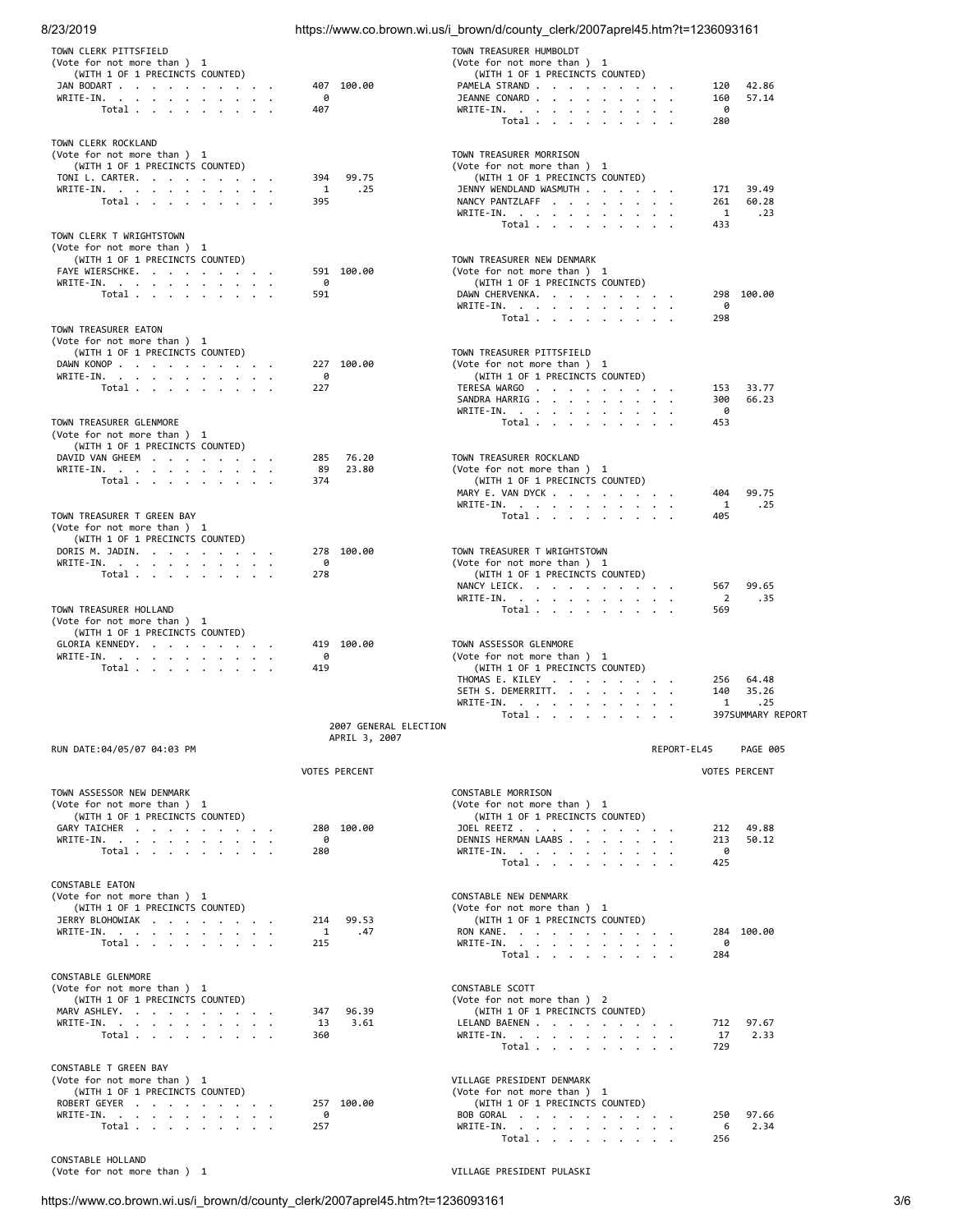| 8/23/2019                                                                                                                                                                                       |                                        | https://www.co.brown.wi.us/i_brown/d/county_clerk/2007aprel45.htm?t=1236093161                                                                                                                               |                                                                       |
|-------------------------------------------------------------------------------------------------------------------------------------------------------------------------------------------------|----------------------------------------|--------------------------------------------------------------------------------------------------------------------------------------------------------------------------------------------------------------|-----------------------------------------------------------------------|
| TOWN CLERK PITTSFIELD<br>(Vote for not more than ) 1<br>(WITH 1 OF 1 PRECINCTS COUNTED)<br>JAN BODART<br>WRITE-IN.<br>Total $\cdots$ $\cdots$ $\cdots$                                          | 407 100.00<br>0<br>407                 | TOWN TREASURER HUMBOLDT<br>(Vote for not more than ) 1<br>(WITH 1 OF 1 PRECINCTS COUNTED)<br>PAMELA STRAND<br>JEANNE CONARD<br>WRITE-IN.<br>Total                                                            | 120<br>42.86<br>57.14<br>160<br>- 0<br>280                            |
| TOWN CLERK ROCKLAND<br>(Vote for not more than ) 1<br>(WITH 1 OF 1 PRECINCTS COUNTED)<br>TONI L. CARTER.<br>WRITE-IN.<br>Total                                                                  | 394<br>99.75<br>1<br>.25<br>395        | TOWN TREASURER MORRISON<br>(Vote for not more than ) 1<br>(WITH 1 OF 1 PRECINCTS COUNTED)<br>JENNY WENDLAND WASMUTH<br>NANCY PANTZLAFF<br>WRITE-IN, $\cdot$ , $\cdot$ , $\cdot$ , $\cdot$ , $\cdot$<br>Total | 39.49<br>171<br>60.28<br>261<br>$\mathbf{1}$<br>.23<br>433            |
| TOWN CLERK T WRIGHTSTOWN<br>(Vote for not more than ) 1<br>(WITH 1 OF 1 PRECINCTS COUNTED)<br>FAYE WIERSCHKE.<br>WRITE-IN.<br>Total $\ldots$ $\ldots$ $\ldots$ $\ldots$<br>TOWN TREASURER EATON | 591 100.00<br>0<br>591                 | TOWN TREASURER NEW DENMARK<br>(Vote for not more than ) 1<br>(WITH 1 OF 1 PRECINCTS COUNTED)<br>DAWN CHERVENKA.<br>WRITE-IN.<br>Total                                                                        | 298 100.00<br>0<br>298                                                |
| (Vote for not more than ) 1<br>(WITH 1 OF 1 PRECINCTS COUNTED)<br>DAWN KONOP<br>WRITE-IN.<br>Total $\ldots$ $\ldots$ $\ldots$ $\ldots$<br>TOWN TREASURER GLENMORE                               | 227 100.00<br>0<br>227                 | TOWN TREASURER PITTSFIELD<br>(Vote for not more than ) 1<br>(WITH 1 OF 1 PRECINCTS COUNTED)<br>TERESA WARGO<br>SANDRA HARRIG.<br>WRITE-IN.<br>Total                                                          | 33.77<br>153<br>300<br>66.23<br>0<br>453                              |
| (Vote for not more than ) 1<br>(WITH 1 OF 1 PRECINCTS COUNTED)<br>DAVID VAN GHEEM<br>WRITE-IN.<br>Total $\cdots$ $\cdots$ $\cdots$<br>TOWN TREASURER T GREEN BAY<br>(Vote for not more than ) 1 | 76.20<br>285<br>89<br>23.80<br>374     | TOWN TREASURER ROCKLAND<br>(Vote for not more than ) 1<br>(WITH 1 OF 1 PRECINCTS COUNTED)<br>MARY E. VAN DYCK<br>WRITE-IN.<br>Total                                                                          | 99.75<br>404<br>1<br>.25<br>405                                       |
| (WITH 1 OF 1 PRECINCTS COUNTED)<br>DORIS M. JADIN.<br>WRITE-IN.<br>Total<br>TOWN TREASURER HOLLAND<br>(Vote for not more than ) 1                                                               | 278 100.00<br>0<br>278                 | TOWN TREASURER T WRIGHTSTOWN<br>(Vote for not more than ) 1<br>(WITH 1 OF 1 PRECINCTS COUNTED)<br>NANCY LEICK.<br>WRITE-IN.<br>Total                                                                         | 99.65<br>567<br>$\overline{2}$<br>.35<br>569                          |
| (WITH 1 OF 1 PRECINCTS COUNTED)<br>GLORIA KENNEDY.<br>WRITE-IN.<br>Total                                                                                                                        | 419 100.00<br>0<br>419                 | TOWN ASSESSOR GLENMORE<br>(Vote for not more than ) 1<br>(WITH 1 OF 1 PRECINCTS COUNTED)<br>THOMAS E. KILEY<br>SETH S. DEMERRITT.<br>WRITE-IN.<br>Total                                                      | 64.48<br>256<br>35.26<br>140<br>1<br>$\cdot$ 25<br>397 SUMMARY REPORT |
|                                                                                                                                                                                                 | 2007 GENERAL ELECTION<br>APRIL 3, 2007 |                                                                                                                                                                                                              |                                                                       |
| RUN DATE:04/05/07 04:03 PM                                                                                                                                                                      | <b>VOTES PERCENT</b>                   |                                                                                                                                                                                                              | REPORT-EL45<br><b>PAGE 005</b><br><b>VOTES PERCENT</b>                |
| TOWN ASSESSOR NEW DENMARK<br>(Vote for not more than ) 1<br>(WITH 1 OF 1 PRECINCTS COUNTED)<br>GARY TAICHER<br>WRITE-IN.<br>Total                                                               | 280 100.00<br>0<br>280                 | CONSTABLE MORRISON<br>(Vote for not more than ) 1<br>(WITH 1 OF 1 PRECINCTS COUNTED)<br>JOEL REETZ<br>DENNIS HERMAN LAABS<br>WRITE-IN.<br>Total                                                              | 212<br>49.88<br>50.12<br>213<br>0<br>425                              |
| CONSTABLE EATON<br>(Vote for not more than ) 1<br>(WITH 1 OF 1 PRECINCTS COUNTED)<br>JERRY BLOHOWIAK<br>WRITE-IN.<br>Total                                                                      | 214<br>99.53<br>1<br>.47<br>215        | CONSTABLE NEW DENMARK<br>(Vote for not more than ) 1<br>(WITH 1 OF 1 PRECINCTS COUNTED)<br>RON KANE.<br>WRITE-IN.<br>Total                                                                                   | 284 100.00<br>ø<br>284                                                |
| CONSTABLE GLENMORE<br>(Vote for not more than ) 1<br>(WITH 1 OF 1 PRECINCTS COUNTED)<br>MARV ASHLEY.<br>WRITE-IN.<br>Total                                                                      | 347<br>96.39<br>3.61<br>13<br>360      | CONSTABLE SCOTT<br>(Vote for not more than) 2<br>(WITH 1 OF 1 PRECINCTS COUNTED)<br>LELAND BAENEN<br>WRITE-IN.<br>Total                                                                                      | 712 97.67<br>2.33<br>17<br>729                                        |
| CONSTABLE T GREEN BAY<br>(Vote for not more than ) 1<br>(WITH 1 OF 1 PRECINCTS COUNTED)<br>ROBERT GEYER<br>WRITE-IN.<br>Total $\cdots$ $\cdots$ $\cdots$                                        | 257 100.00<br>0<br>257                 | VILLAGE PRESIDENT DENMARK<br>(Vote for not more than ) 1<br>(WITH 1 OF 1 PRECINCTS COUNTED)<br>BOB GORAL<br>WRITE-IN.<br>Total                                                                               | 97.66<br>250<br>2.34<br>- 6<br>256                                    |

CONSTABLE HOLLAND (Vote for not more than ) 1 VILLAGE PRESIDENT PULASKI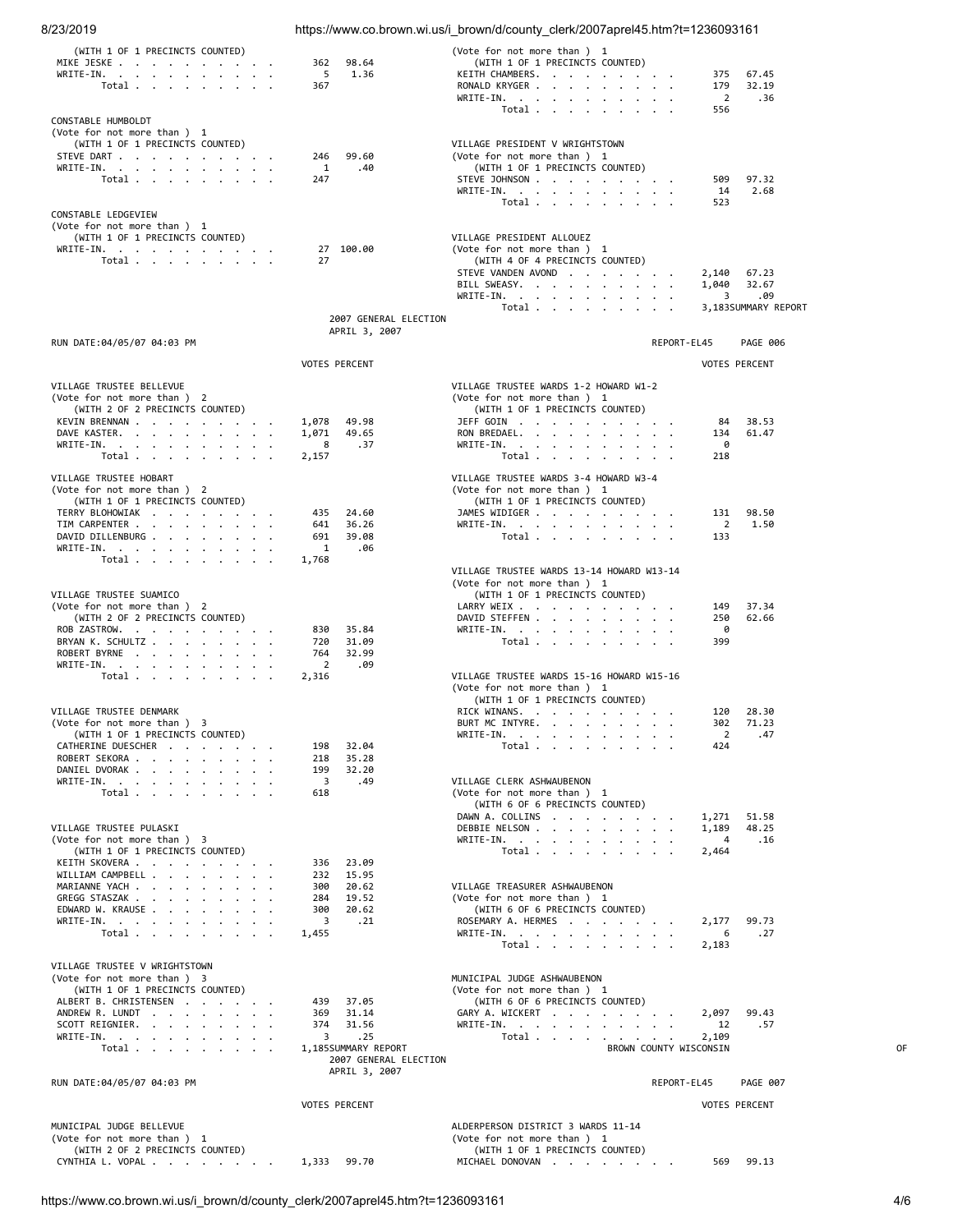| 8/23/2019                                                      |                                                               | https://www.co.brown.wi.us/i brown/d/county clerk/2007aprel45.htm?t=1236093161 |                                        |    |
|----------------------------------------------------------------|---------------------------------------------------------------|--------------------------------------------------------------------------------|----------------------------------------|----|
| (WITH 1 OF 1 PRECINCTS COUNTED)                                |                                                               | (Vote for not more than ) 1<br>(WITH 1 OF 1 PRECINCTS COUNTED)                 |                                        |    |
| MIKE JESKE<br>WRITE-IN.                                        | 98.64<br>362<br>5<br>1.36                                     | KEITH CHAMBERS.                                                                | 375<br>67.45                           |    |
| Total                                                          | 367                                                           | RONALD KRYGER                                                                  | 179<br>32.19                           |    |
|                                                                |                                                               | WRITE-IN.<br>Total $\ldots$ $\ldots$ $\ldots$                                  | 2<br>.36<br>556                        |    |
| CONSTABLE HUMBOLDT<br>(Vote for not more than ) 1              |                                                               |                                                                                |                                        |    |
| (WITH 1 OF 1 PRECINCTS COUNTED)                                |                                                               | VILLAGE PRESIDENT V WRIGHTSTOWN                                                |                                        |    |
| STEVE DART<br>WRITE-IN.                                        | 99.60<br>246<br>1<br>.40                                      | (Vote for not more than ) 1<br>(WITH 1 OF 1 PRECINCTS COUNTED)                 |                                        |    |
| Total                                                          | 247                                                           | STEVE JOHNSON                                                                  | 97.32<br>509                           |    |
|                                                                |                                                               | WRITE-IN.<br>Total                                                             | 14<br>2.68<br>523                      |    |
| CONSTABLE LEDGEVIEW                                            |                                                               |                                                                                |                                        |    |
| (Vote for not more than ) 1<br>(WITH 1 OF 1 PRECINCTS COUNTED) |                                                               | VILLAGE PRESIDENT ALLOUEZ                                                      |                                        |    |
| WRITE-IN.                                                      | 27 100.00                                                     | (Vote for not more than) 1                                                     |                                        |    |
| Total $\ldots$ $\ldots$ $\ldots$ $\ldots$                      | 27                                                            | (WITH 4 OF 4 PRECINCTS COUNTED)<br>STEVE VANDEN AVOND                          | 2,140<br>67.23                         |    |
|                                                                |                                                               | BILL SWEASY.                                                                   | 1,040<br>32.67                         |    |
|                                                                |                                                               | WRITE-IN.<br>Total $\ldots$ $\ldots$ $\ldots$ $\ldots$                         | 3<br>.09<br>3,183SUMMARY REPORT        |    |
|                                                                | 2007 GENERAL ELECTION<br>APRIL 3, 2007                        |                                                                                |                                        |    |
| RUN DATE:04/05/07 04:03 PM                                     |                                                               |                                                                                | REPORT-EL45<br><b>PAGE 006</b>         |    |
|                                                                | <b>VOTES PERCENT</b>                                          |                                                                                | <b>VOTES PERCENT</b>                   |    |
| VILLAGE TRUSTEE BELLEVUE                                       |                                                               | VILLAGE TRUSTEE WARDS 1-2 HOWARD W1-2                                          |                                        |    |
| (Vote for not more than ) 2                                    |                                                               | (Vote for not more than ) 1                                                    |                                        |    |
| (WITH 2 OF 2 PRECINCTS COUNTED)<br>KEVIN BRENNAN               | 49.98<br>1,078                                                | (WITH 1 OF 1 PRECINCTS COUNTED)<br>JEFF GOIN                                   | 38.53<br>84                            |    |
| DAVE KASTER.                                                   | 1,071<br>49.65                                                | RON BREDAEL.                                                                   | 61.47<br>134                           |    |
| WRITE-IN.<br>Total                                             | .37<br>8<br>2,157                                             | WRITE-IN.<br>Total                                                             | 0<br>218                               |    |
|                                                                |                                                               |                                                                                |                                        |    |
| VILLAGE TRUSTEE HOBART<br>(Vote for not more than ) 2          |                                                               | VILLAGE TRUSTEE WARDS 3-4 HOWARD W3-4<br>(Vote for not more than ) 1           |                                        |    |
| (WITH 1 OF 1 PRECINCTS COUNTED)                                |                                                               | (WITH 1 OF 1 PRECINCTS COUNTED)                                                |                                        |    |
| TERRY BLOHOWIAK<br>TIM CARPENTER                               | 24.60<br>435<br>36.26<br>641                                  | JAMES WIDIGER<br>WRITE-IN.                                                     | 98.50<br>131<br>$\overline{2}$<br>1.50 |    |
| DAVID DILLENBURG                                               | 691<br>39.08<br>1                                             | Total                                                                          | 133                                    |    |
| WRITE-IN.<br>Total $\cdots$ $\cdots$ $\cdots$                  | .06<br>1,768                                                  |                                                                                |                                        |    |
|                                                                |                                                               | VILLAGE TRUSTEE WARDS 13-14 HOWARD W13-14<br>(Vote for not more than ) 1       |                                        |    |
| VILLAGE TRUSTEE SUAMICO                                        |                                                               | (WITH 1 OF 1 PRECINCTS COUNTED)                                                |                                        |    |
| (Vote for not more than ) 2<br>(WITH 2 OF 2 PRECINCTS COUNTED) |                                                               | LARRY WEIX<br>DAVID STEFFEN                                                    | 37.34<br>149<br>62.66<br>250           |    |
| ROB ZASTROW.                                                   | 35.84<br>830                                                  | WRITE-IN.                                                                      | 0                                      |    |
| BRYAN K. SCHULTZ<br>ROBERT BYRNE                               | 31.09<br>720<br>764<br>32.99                                  | Total $\cdots$ $\cdots$<br>$\sim$                                              | 399                                    |    |
| WRITE-IN.                                                      | $\overline{2}$<br>.09                                         |                                                                                |                                        |    |
| Total $\cdots$ $\cdots$ $\cdots$                               | 2,316                                                         | VILLAGE TRUSTEE WARDS 15-16 HOWARD W15-16<br>(Vote for not more than ) 1       |                                        |    |
| VILLAGE TRUSTEE DENMARK                                        |                                                               | (WITH 1 OF 1 PRECINCTS COUNTED)<br>RICK WINANS.                                | 120 28.30                              |    |
| (Vote for not more than ) 3                                    |                                                               | BURT MC INTYRE.                                                                | 302<br>71.23                           |    |
| (WITH 1 OF 1 PRECINCTS COUNTED)<br>CATHERINE DUESCHER          | 198<br>32.04                                                  | WRITE-IN.<br>Total                                                             | $\overline{2}$<br>.47<br>424           |    |
| ROBERT SEKORA                                                  | 218<br>35.28                                                  |                                                                                |                                        |    |
| DANIEL DVORAK<br>WRITE-IN.                                     | 199<br>32.20<br>$\overline{\mathbf{3}}$<br>.49                | VILLAGE CLERK ASHWAUBENON                                                      |                                        |    |
| Total                                                          | 618                                                           | (Vote for not more than ) 1<br>(WITH 6 OF 6 PRECINCTS COUNTED)                 |                                        |    |
|                                                                |                                                               | DAWN A. COLLINS                                                                | 1,271 51.58                            |    |
| VILLAGE TRUSTEE PULASKI<br>(Vote for not more than ) 3         |                                                               | DEBBIE NELSON<br>WRITE-IN.                                                     | 1,189<br>48.25<br>4<br>.16             |    |
| (WITH 1 OF 1 PRECINCTS COUNTED)                                |                                                               | Total                                                                          | 2,464                                  |    |
| KEITH SKOVERA<br>WILLIAM CAMPBELL                              | 23.09<br>336<br>232<br>15.95                                  |                                                                                |                                        |    |
| MARIANNE YACH<br>GREGG STASZAK                                 | 300<br>20.62<br>284                                           | VILLAGE TREASURER ASHWAUBENON                                                  |                                        |    |
| EDWARD W. KRAUSE                                               | 19.52<br>300<br>20.62                                         | (Vote for not more than ) 1<br>(WITH 6 OF 6 PRECINCTS COUNTED)                 |                                        |    |
| WRITE-IN.<br>Total $\cdots$ $\cdots$ $\cdots$                  | $\overline{\mathbf{3}}$<br>.21<br>1,455                       | ROSEMARY A. HERMES<br>WRITE-IN.                                                | 2,177<br>99.73<br>6<br>.27             |    |
|                                                                |                                                               | Total                                                                          | 2,183                                  |    |
| VILLAGE TRUSTEE V WRIGHTSTOWN                                  |                                                               |                                                                                |                                        |    |
| (Vote for not more than ) 3<br>(WITH 1 OF 1 PRECINCTS COUNTED) |                                                               | MUNICIPAL JUDGE ASHWAUBENON<br>(Vote for not more than ) 1                     |                                        |    |
| ALBERT B. CHRISTENSEN                                          | 37.05<br>439                                                  | (WITH 6 OF 6 PRECINCTS COUNTED)                                                |                                        |    |
| ANDREW R. LUNDT<br>SCOTT REIGNIER.                             | 369<br>31.14<br>374<br>31.56                                  | GARY A. WICKERT<br>WRITE-IN.                                                   | 2,097<br>99.43<br>12<br>.57            |    |
| WRITE-IN.                                                      | 3<br>.25                                                      | Total $\cdots$ $\cdots$ $\cdots$                                               | 2,109                                  |    |
| Total $\ldots$ $\ldots$ $\ldots$ $\ldots$                      | 1,185SUMMARY REPORT<br>2007 GENERAL ELECTION<br>APRIL 3, 2007 | BROWN COUNTY WISCONSIN                                                         |                                        | 0F |
| RUN DATE:04/05/07 04:03 PM                                     |                                                               |                                                                                | REPORT-EL45<br>PAGE 007                |    |
|                                                                | <b>VOTES PERCENT</b>                                          |                                                                                | <b>VOTES PERCENT</b>                   |    |
| MUNICIPAL JUDGE BELLEVUE                                       |                                                               | ALDERPERSON DISTRICT 3 WARDS 11-14                                             |                                        |    |
| (Vote for not more than ) 1<br>(WITH 2 OF 2 PRECINCTS COUNTED) |                                                               | (Vote for not more than ) 1<br>(WITH 1 OF 1 PRECINCTS COUNTED)                 |                                        |    |
| CYNTHIA L. VOPAL                                               | 1,333 99.70                                                   | MICHAEL DONOVAN                                                                | 569 99.13                              |    |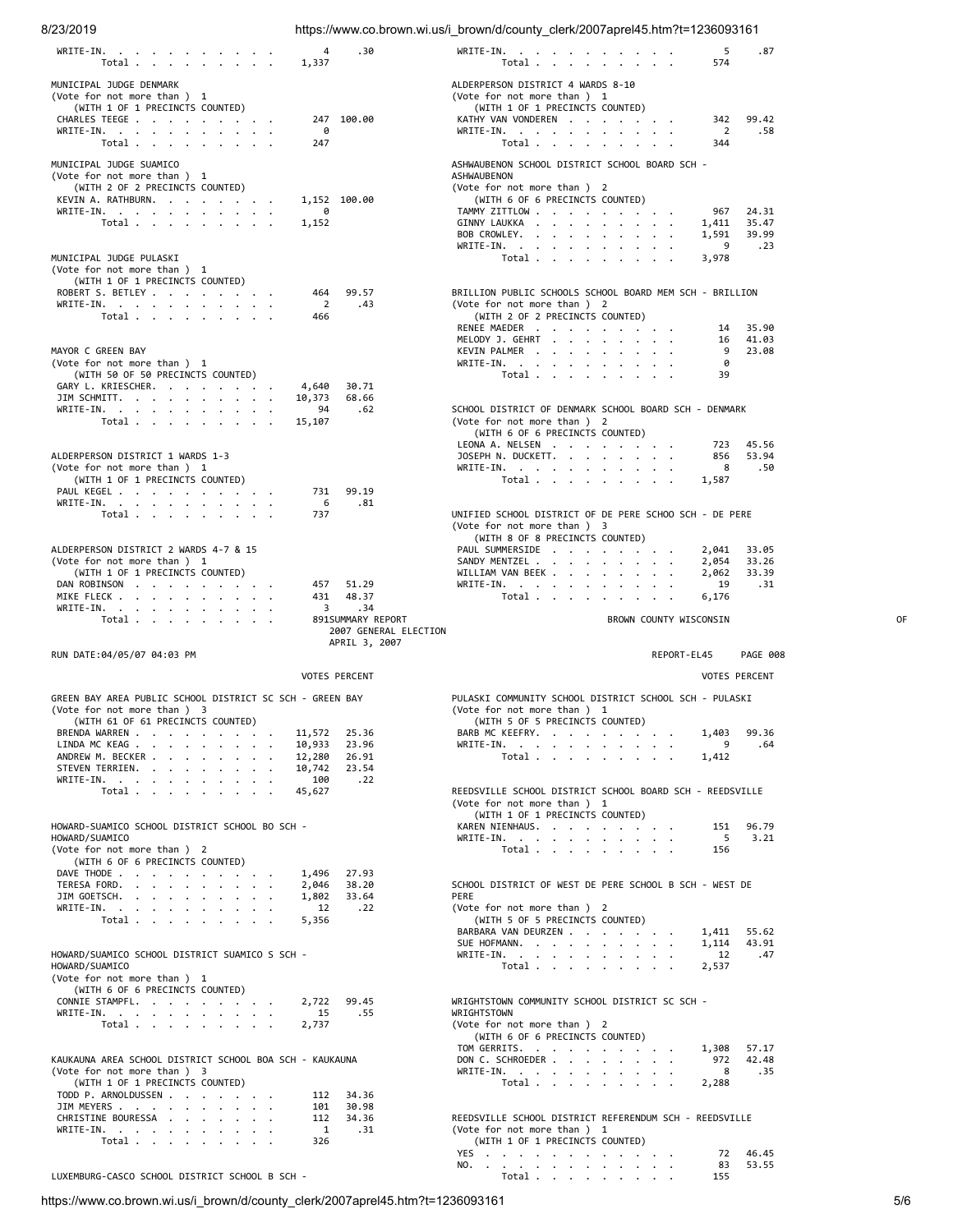8/23/2019 https://www.co.brown.wi.us/i\_brown/d/county\_clerk/2007aprel45.htm?t=1236093161

| WRITE-IN.<br>Total                                                                     | 4<br>1,337            | .30                                    | WRITE-IN.<br>5<br>574<br>Total $\cdots$ $\cdots$ $\cdots$                               | .87                  |
|----------------------------------------------------------------------------------------|-----------------------|----------------------------------------|-----------------------------------------------------------------------------------------|----------------------|
| MUNICIPAL JUDGE DENMARK                                                                |                       |                                        | ALDERPERSON DISTRICT 4 WARDS 8-10                                                       |                      |
| (Vote for not more than) 1<br>(WITH 1 OF 1 PRECINCTS COUNTED)                          |                       |                                        | (Vote for not more than) 1<br>(WITH 1 OF 1 PRECINCTS COUNTED)                           |                      |
| CHARLES TEEGE                                                                          |                       | 247 100.00                             | KATHY VAN VONDEREN<br>342                                                               | 99.42                |
| WRITE-IN.<br>Total                                                                     | 0<br>247              |                                        | 2<br>WRITE-IN.<br>344<br>Total                                                          | .58                  |
| MUNICIPAL JUDGE SUAMICO                                                                |                       |                                        | ASHWAUBENON SCHOOL DISTRICT SCHOOL BOARD SCH -                                          |                      |
| (Vote for not more than ) 1                                                            |                       |                                        | ASHWAUBENON                                                                             |                      |
| (WITH 2 OF 2 PRECINCTS COUNTED)<br>KEVIN A. RATHBURN.                                  |                       | 1,152 100.00                           | (Vote for not more than ) 2<br>(WITH 6 OF 6 PRECINCTS COUNTED)                          |                      |
| WRITE-IN.                                                                              | 0                     |                                        | TAMMY ZITTLOW<br>967                                                                    | 24.31                |
| Total                                                                                  | 1,152                 |                                        | GINNY LAUKKA<br>1,411<br>BOB CROWLEY.<br>1,591                                          | 35.47<br>39.99       |
|                                                                                        |                       |                                        | WRITE-IN.<br>9                                                                          | .23                  |
| MUNICIPAL JUDGE PULASKI<br>(Vote for not more than ) 1                                 |                       |                                        | Total<br>3,978                                                                          |                      |
| (WITH 1 OF 1 PRECINCTS COUNTED)                                                        |                       |                                        |                                                                                         |                      |
| ROBERT S. BETLEY<br>WRITE-IN.                                                          | 464<br>$\overline{2}$ | 99.57<br>.43                           | BRILLION PUBLIC SCHOOLS SCHOOL BOARD MEM SCH - BRILLION<br>(Vote for not more than ) 2  |                      |
| Total $\cdots$ $\cdots$ $\cdots$                                                       | 466                   |                                        | (WITH 2 OF 2 PRECINCTS COUNTED)<br>RENEE MAEDER<br>14                                   | 35.90                |
|                                                                                        |                       |                                        | MELODY J. GEHRT<br>16                                                                   | 41.03                |
| MAYOR C GREEN BAY<br>(Vote for not more than ) 1                                       |                       |                                        | KEVIN PALMER<br>9<br>WRITE-IN.<br>0                                                     | 23.08                |
| (WITH 50 OF 50 PRECINCTS COUNTED)                                                      |                       |                                        | Total<br>39                                                                             |                      |
| GARY L. KRIESCHER.<br>JIM SCHMITT.                                                     | 4,640<br>10,373       | 30.71<br>68.66                         |                                                                                         |                      |
| WRITE-IN.                                                                              | 94                    | .62                                    | SCHOOL DISTRICT OF DENMARK SCHOOL BOARD SCH - DENMARK                                   |                      |
| Total                                                                                  | 15,107                |                                        | (Vote for not more than ) 2<br>(WITH 6 OF 6 PRECINCTS COUNTED)                          |                      |
|                                                                                        |                       |                                        | LEONA A. NELSEN<br>723                                                                  | 45.56                |
| ALDERPERSON DISTRICT 1 WARDS 1-3<br>(Vote for not more than ) 1                        |                       |                                        | JOSEPH N. DUCKETT.<br>856<br>WRITE-IN.<br>8                                             | 53.94<br>.50         |
| (WITH 1 OF 1 PRECINCTS COUNTED)                                                        |                       |                                        | Total $\ldots$ $\ldots$ $\ldots$ $\ldots$<br>1,587                                      |                      |
| PAUL KEGEL<br>WRITE-IN.                                                                | 731<br>- 6            | 99.19<br>.81                           |                                                                                         |                      |
| Total $\cdots$ $\cdots$ $\cdots$                                                       | 737                   |                                        | UNIFIED SCHOOL DISTRICT OF DE PERE SCHOO SCH - DE PERE                                  |                      |
|                                                                                        |                       |                                        | (Vote for not more than ) 3<br>(WITH 8 OF 8 PRECINCTS COUNTED)                          |                      |
| ALDERPERSON DISTRICT 2 WARDS 4-7 & 15                                                  |                       |                                        | PAUL SUMMERSIDE<br>2,041                                                                | 33.05                |
| (Vote for not more than ) 1<br>(WITH 1 OF 1 PRECINCTS COUNTED)                         |                       |                                        | SANDY MENTZEL<br>2,054<br>WILLIAM VAN BEEK<br>2,062                                     | 33.26<br>33.39       |
| DAN ROBINSON                                                                           | 457                   | 51.29                                  | WRITE-IN.<br>19                                                                         | .31                  |
| MIKE FLECK                                                                             | 431                   | 48.37                                  | Total<br>6,176                                                                          |                      |
|                                                                                        | 3                     | .34                                    |                                                                                         |                      |
| WRITE-IN.<br>Total                                                                     |                       | 891SUMMARY REPORT                      | BROWN COUNTY WISCONSIN                                                                  | 0F                   |
|                                                                                        |                       | 2007 GENERAL ELECTION<br>APRIL 3, 2007 |                                                                                         |                      |
| RUN DATE:04/05/07 04:03 PM                                                             |                       |                                        | REPORT-EL45                                                                             | <b>PAGE 008</b>      |
|                                                                                        |                       | <b>VOTES PERCENT</b>                   |                                                                                         | <b>VOTES PERCENT</b> |
| GREEN BAY AREA PUBLIC SCHOOL DISTRICT SC SCH - GREEN BAY                               |                       |                                        | PULASKI COMMUNITY SCHOOL DISTRICT SCHOOL SCH - PULASKI                                  |                      |
| (Vote for not more than) 3                                                             |                       |                                        | (Vote for not more than) 1                                                              |                      |
| (WITH 61 OF 61 PRECINCTS COUNTED)<br>BRENDA WARREN                                     | 11,572 25.36          |                                        | (WITH 5 OF 5 PRECINCTS COUNTED)<br>BARB MC KEEFRY.                                      | 1,403 99.36          |
| LINDA MC KEAG                                                                          | 10,933                | 23.96                                  | WRITE-IN.                                                                               | .64                  |
| ANDREW M. BECKER<br>STEVEN TERRIEN.                                                    | 12,280<br>10,742      | 26.91<br>23.54                         | Total $\cdots$ $\cdots$ $\cdots$<br>1,412                                               |                      |
| WRITE-IN.                                                                              | 100                   | .22                                    |                                                                                         |                      |
| Total                                                                                  | 45,627                |                                        | REEDSVILLE SCHOOL DISTRICT SCHOOL BOARD SCH - REEDSVILLE<br>(Vote for not more than ) 1 |                      |
|                                                                                        |                       |                                        | (WITH 1 OF 1 PRECINCTS COUNTED)<br>151                                                  |                      |
| HOWARD-SUAMICO SCHOOL DISTRICT SCHOOL BO SCH -<br>HOWARD/SUAMICO                       |                       |                                        | KAREN NIENHAUS.<br>WRITE-IN.<br>- 5                                                     | 96.79<br>3.21        |
| (Vote for not more than) 2<br>(WITH 6 OF 6 PRECINCTS COUNTED)                          |                       |                                        | Total<br>156                                                                            |                      |
| DAVE THODE                                                                             | 1,496                 | 27.93                                  |                                                                                         |                      |
| TERESA FORD.<br>JIM GOETSCH.                                                           | 2,046<br>1,802        | 38.20<br>33.64                         | SCHOOL DISTRICT OF WEST DE PERE SCHOOL B SCH - WEST DE<br>PERE                          |                      |
| WRITE-IN.                                                                              | 12                    | .22                                    | (Vote for not more than ) 2                                                             |                      |
| Total                                                                                  | 5,356                 |                                        | (WITH 5 OF 5 PRECINCTS COUNTED)<br>BARBARA VAN DEURZEN<br>1,411                         | 55.62                |
|                                                                                        |                       |                                        | SUE HOFMANN.<br>1,114                                                                   | 43.91                |
| HOWARD/SUAMICO SCHOOL DISTRICT SUAMICO S SCH -<br>HOWARD/SUAMICO                       |                       |                                        | WRITE-IN.<br>12<br>Total<br>2,537                                                       | .47                  |
| (Vote for not more than) 1                                                             |                       |                                        |                                                                                         |                      |
| (WITH 6 OF 6 PRECINCTS COUNTED)<br>CONNIE STAMPFL.                                     | 2,722                 | 99.45                                  | WRIGHTSTOWN COMMUNITY SCHOOL DISTRICT SC SCH -                                          |                      |
| WRITE-IN.                                                                              | 15                    | .55                                    | WRIGHTSTOWN                                                                             |                      |
| Total                                                                                  | 2,737                 |                                        | (Vote for not more than ) 2<br>(WITH 6 OF 6 PRECINCTS COUNTED)                          |                      |
|                                                                                        |                       |                                        | TOM GERRITS.                                                                            | 1,308 57.17          |
| KAUKAUNA AREA SCHOOL DISTRICT SCHOOL BOA SCH - KAUKAUNA<br>(Vote for not more than ) 3 |                       |                                        | DON C. SCHROEDER<br>WRITE-IN.<br>8                                                      | 972 42.48<br>.35     |
| (WITH 1 OF 1 PRECINCTS COUNTED)                                                        | 112                   |                                        | Total<br>2,288                                                                          |                      |
| TODD P. ARNOLDUSSEN<br>JIM MEYERS                                                      | 101                   | 34.36<br>30.98                         |                                                                                         |                      |
| CHRISTINE BOURESSA                                                                     | 112<br>$\mathbf{1}$   | 34.36<br>.31                           | REEDSVILLE SCHOOL DISTRICT REFERENDUM SCH - REEDSVILLE                                  |                      |
| WRITE-IN.<br>Total                                                                     | 326                   |                                        | (Vote for not more than ) 1<br>(WITH 1 OF 1 PRECINCTS COUNTED)                          |                      |
|                                                                                        |                       |                                        | YES<br>72<br>NO.<br>83                                                                  | 46.45<br>53.55       |

https://www.co.brown.wi.us/i\_brown/d/county\_clerk/2007aprel45.htm?t=1236093161